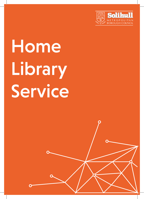

# Home Library Service

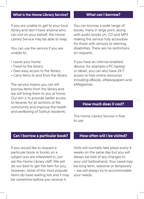### **What is the Home Library Service?**

If you are unable to get to your local library and don't have anyone who can visit on your behalf, the Home Library Service may be able to help.

You can use the service if you are unable to:

- Leave your home
- Travel to the library
- Gain easy access to the library
- Carry items to and from the library

The service means you can still borrow items from the library and we will bring them to you at home. Our aim is to provide better access to libraries for all sections of the community and improve the health and wellbeing of Solihull residents.

### **What can I borrow?**

You can borrow a wide range of books, many in large print, along with audio books on, CD and MP3 making the service fully accessible for those with sensory or learning disabilities. There are no restrictions on requests.

If you have an internet enabled device, for example a PC/laptop or tablet, you can also have 24/7 access to free online resources including eBooks, eNewspapers and eMagazines.

## **How much does it cost?**

The Home Library Service is free to use

## **Can I borrow a particular book? How often will I be visited?**

If you would like to request a particular book or books on a subject you are interested in, just ask the Home Library staff. We will do our best to get the item for you, however, some of the most popular items do have waiting lists and it may be sometime before you receive it.

Visits will normally take place every 4 weeks on the same day but you will always be told of any changes to your visit beforehand. Your need may be long term, seasonal or temporary – we will always try to accommodate your needs.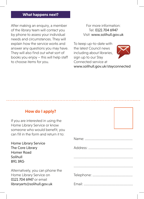### **What happens next?**

After making an enquiry, a member of the library team will contact you by phone to assess your individual needs and circumstances. They will explain how the service works and answer any questions you may have. They will also find out what sort of books you enjoy – this will help staff to choose items for you.

For more information: Tel: 0121 704 6947 Visit: www.solihull.gov.uk

To keep up-to-date with the latest Council news including about libraries, sign up to our Stay Connected service at www.solihull.gov.uk/stayconnected



# **How do I apply?**

If you are interested in using the Home Library Service or know someone who would benefit, you can fill in the form and return it to:

| <b>Home Library Service</b>      |  |
|----------------------------------|--|
| The Core Library                 |  |
| <b>Homer Road</b>                |  |
| Solihull                         |  |
| <b>B913RG</b>                    |  |
|                                  |  |
| Alternatively, you can phone the |  |
| Home Library Service on          |  |
| 0121 704 6947 or email           |  |
| libraryarts@solihull.gov.uk      |  |

Name: .........................................................